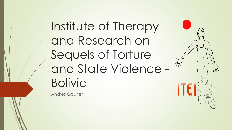Institute of Therapy and Research on Sequels of Torture and State Violence - Bolivia

Andrés Gautier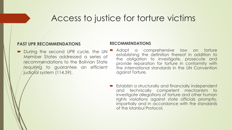### Access to justice for torture victims

#### **PAST UPR RECOMMENDATIONS**

During the second UPR cycle, the UN Member States addressed a series of recommendations to the Bolivian State requiring to guarantee an efficient judicial system (114.59).

- Adopt a comprehensive law on torture establishing the definition thereof in addition to the obligation to investigate, prosecute and provide reparation for torture in conformity with the international standards in the UN Convention against Torture.
- **Establish a structurally and financially independent** and technically competent mechanism to investigate allegations of torture and other human rights violations against state officials promptly, impartially and in accordance with the standards of the Istanbul Protocol.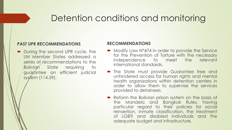## Detention conditions and monitoring

#### **PAST UPR RECOMMENDATIONS**

During the second UPR cycle, the UN Member States addressed a series of recommendations to the Bolivian State requiring to guarantee an efficient judicial system (114.59).

- Modify Law N°474 in order to provide the Service for the Prevention of Torture with the necessary independence to meet the relevant international standards.
- **The State must provide Guarantee free and** unhindered access for human rights and mental health organizations within detention centers in order to allow them to supervise the services provided to detainees.
- Reform the Bolivian prison system on the basis of the Mandela and Bangkok Rules, having particular regard to their policies for social reinsertion, inmate classification, the treatment of LGBTI and disabled individuals and the adequate budget and infrastructure.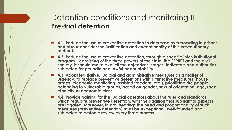### Detention conditions and monitoring II **Pre-trial detention**

- **4.1. Reduce the use of preventive detention to decrease overcrowding in prisons and also reconsider the justification and exceptionality of this precautionary method.**
- 4.2. Reduce the use of preventive detention, through a specific inter-institutional **program – consisting of the three powers of the state, the SEPRET and the civil society. It should make explicit the objectives, stages, indicators and authorities subjected for periodic and lawful accountability.**
- **4.3. Adopt legislative, judicial and administrative measures as a matter of urgency, to replace preventive detentions with alternative measures (house arrests, electronic monitoring, assisted freedom, etc.), prioritizing the people belonging to vulnerable groups, based on gender, sexual orientation, age, race, ethnicity or economic class.**
- **4.4. Provide training for the judicial operators about the rules and standards which regulate preventive detention, with the addition that substantial aspects are litigated. Moreover, in oral hearings the need and proportionality of such measures (preventive detention) must be exceptional, well-founded and**  subjected to periodic review every three months.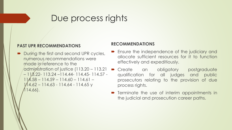### Due process rights

#### **PAST UPR RECOMMENDATIONS**

During the first and second UPR cycles, numerous recommendations were made in reference to the administration of justice (113.20 - 113.21  $-11\frac{3.22-113.24-114.44-114.45-114.57-114.57-114.57-114.57-114.57-114.57-114.57-114.57-114.57-114.57-114.57-114.57-114.57-114.57-114.57-114.57-114.57-114.57-114.57-114.57-114.57-114.57-114.57-114.57-114.57-114.57-114.57$ 114.58 – 114.59 – 114.60 – 114.61 –  $1/14.62 - 114.63 - 114.64 - 114.65$  y 114.66).

- Ensure the independence of the judiciary and allocate sufficient resources for it to function effectively and expeditiously.
- Create an obligatory postgraduate qualification for all judges and public prosecutors relating to the provision of due process rights.
- **•** Terminate the use of interim appointments in the judicial and prosecution career paths.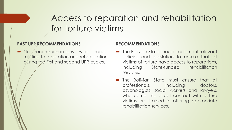# Access to reparation and rehabilitation for torture victims

#### **PAST UPR RECOMMENDATIONS**

• No recommendations were made relating to reparation and rehabilitation during the first and second UPR cycles.

- The Bolivian State should implement relevant policies and legislation to ensure that all victims of torture have access to reparations, including State-funded rehabilitation services.
- The Bolivian State must ensure that all professionals, including doctors, psychologists, social workers and lawyers, who come into direct contact with torture victims are trained in offering appropriate rehabilitation services.